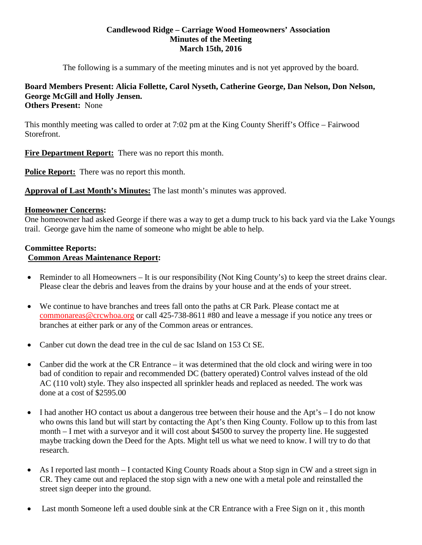#### **Candlewood Ridge – Carriage Wood Homeowners' Association Minutes of the Meeting March 15th, 2016**

The following is a summary of the meeting minutes and is not yet approved by the board.

#### **Board Members Present: Alicia Follette, Carol Nyseth, Catherine George, Dan Nelson, Don Nelson, George McGill and Holly Jensen. Others Present:** None

This monthly meeting was called to order at 7:02 pm at the King County Sheriff's Office – Fairwood Storefront.

**Fire Department Report:** There was no report this month.

**Police Report:** There was no report this month.

**Approval of Last Month's Minutes:** The last month's minutes was approved.

### **Homeowner Concerns:**

One homeowner had asked George if there was a way to get a dump truck to his back yard via the Lake Youngs trail. George gave him the name of someone who might be able to help.

### **Committee Reports: Common Areas Maintenance Report:**

- Reminder to all Homeowners It is our responsibility (Not King County's) to keep the street drains clear. Please clear the debris and leaves from the drains by your house and at the ends of your street.
- We continue to have branches and trees fall onto the paths at CR Park. Please contact me at [commonareas@crcwhoa.org](mailto:commonareas@crcwhoa.org) or call 425-738-8611 #80 and leave a message if you notice any trees or branches at either park or any of the Common areas or entrances.
- Canber cut down the dead tree in the cul de sac Island on 153 Ct SE.
- Canber did the work at the CR Entrance it was determined that the old clock and wiring were in too bad of condition to repair and recommended DC (battery operated) Control valves instead of the old AC (110 volt) style. They also inspected all sprinkler heads and replaced as needed. The work was done at a cost of \$2595.00
- I had another HO contact us about a dangerous tree between their house and the Apt's I do not know who owns this land but will start by contacting the Apt's then King County. Follow up to this from last month – I met with a surveyor and it will cost about \$4500 to survey the property line. He suggested maybe tracking down the Deed for the Apts. Might tell us what we need to know. I will try to do that research.
- As I reported last month I contacted King County Roads about a Stop sign in CW and a street sign in CR. They came out and replaced the stop sign with a new one with a metal pole and reinstalled the street sign deeper into the ground.
- Last month Someone left a used double sink at the CR Entrance with a Free Sign on it, this month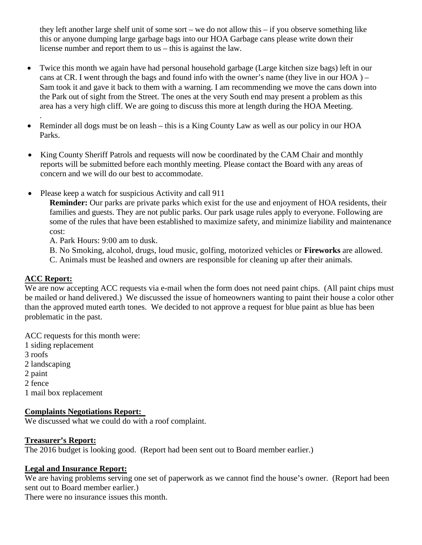they left another large shelf unit of some sort – we do not allow this – if you observe something like this or anyone dumping large garbage bags into our HOA Garbage cans please write down their license number and report them to us – this is against the law.

- Twice this month we again have had personal household garbage (Large kitchen size bags) left in our cans at CR. I went through the bags and found info with the owner's name (they live in our  $HOA$ ) – Sam took it and gave it back to them with a warning. I am recommending we move the cans down into the Park out of sight from the Street. The ones at the very South end may present a problem as this area has a very high cliff. We are going to discuss this more at length during the HOA Meeting.
- Reminder all dogs must be on leash this is a King County Law as well as our policy in our HOA Parks.
- King County Sheriff Patrols and requests will now be coordinated by the CAM Chair and monthly reports will be submitted before each monthly meeting. Please contact the Board with any areas of concern and we will do our best to accommodate.
- Please keep a watch for suspicious Activity and call 911

**Reminder:** Our parks are private parks which exist for the use and enjoyment of HOA residents, their families and guests. They are not public parks. Our park usage rules apply to everyone. Following are some of the rules that have been established to maximize safety, and minimize liability and maintenance cost:

A. Park Hours: 9:00 am to dusk.

B. No Smoking, alcohol, drugs, loud music, golfing, motorized vehicles or **Fireworks** are allowed.

C. Animals must be leashed and owners are responsible for cleaning up after their animals.

# **ACC Report:**

.

We are now accepting ACC requests via e-mail when the form does not need paint chips. (All paint chips must be mailed or hand delivered.) We discussed the issue of homeowners wanting to paint their house a color other than the approved muted earth tones. We decided to not approve a request for blue paint as blue has been problematic in the past.

ACC requests for this month were: 1 siding replacement 3 roofs 2 landscaping 2 paint 2 fence 1 mail box replacement

# **Complaints Negotiations Report:**

We discussed what we could do with a roof complaint.

# **Treasurer's Report:**

The 2016 budget is looking good. (Report had been sent out to Board member earlier.)

# **Legal and Insurance Report:**

We are having problems serving one set of paperwork as we cannot find the house's owner. (Report had been sent out to Board member earlier.)

There were no insurance issues this month.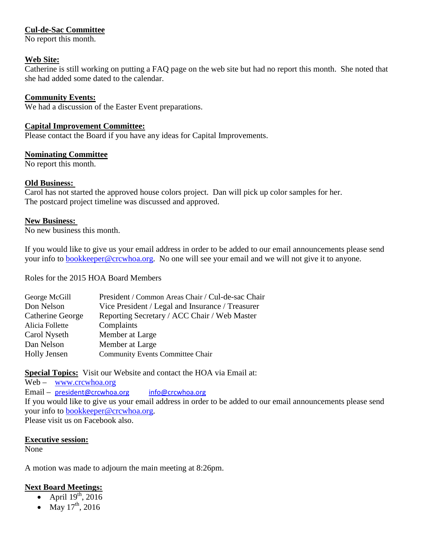# **Cul-de-Sac Committee**

No report this month.

### **Web Site:**

Catherine is still working on putting a FAQ page on the web site but had no report this month. She noted that she had added some dated to the calendar.

### **Community Events:**

We had a discussion of the Easter Event preparations.

#### **Capital Improvement Committee:**

Please contact the Board if you have any ideas for Capital Improvements.

### **Nominating Committee**

No report this month.

### **Old Business:**

Carol has not started the approved house colors project. Dan will pick up color samples for her. The postcard project timeline was discussed and approved.

#### **New Business:**

No new business this month.

If you would like to give us your email address in order to be added to our email announcements please send your info to [bookkeeper@crcwhoa.org.](mailto:bookkeeper@crcwhoa.org) No one will see your email and we will not give it to anyone.

Roles for the 2015 HOA Board Members

| George McGill    | President / Common Areas Chair / Cul-de-sac Chair |
|------------------|---------------------------------------------------|
| Don Nelson       | Vice President / Legal and Insurance / Treasurer  |
| Catherine George | Reporting Secretary / ACC Chair / Web Master      |
| Alicia Follette  | Complaints                                        |
| Carol Nyseth     | Member at Large                                   |
| Dan Nelson       | Member at Large                                   |
| Holly Jensen     | <b>Community Events Committee Chair</b>           |
|                  |                                                   |

# **Special Topics:** Visit our Website and contact the HOA via Email at:

Web – [www.crcwhoa.org](http://www.crcwhoa.org/) Email – [president@crcwhoa.org](mailto:president@crcwhoa.org) [info@crcwhoa.org](mailto:info@crcwhoa.org) If you would like to give us your email address in order to be added to our email announcements please send your info to [bookkeeper@crcwhoa.org.](mailto:bookkeeper@crcwhoa.org) Please visit us on Facebook also.

#### **Executive session:**

None

A motion was made to adjourn the main meeting at 8:26pm.

# **Next Board Meetings:**

- April  $19^{th}$ , 2016
- May  $17^{th}$ , 2016